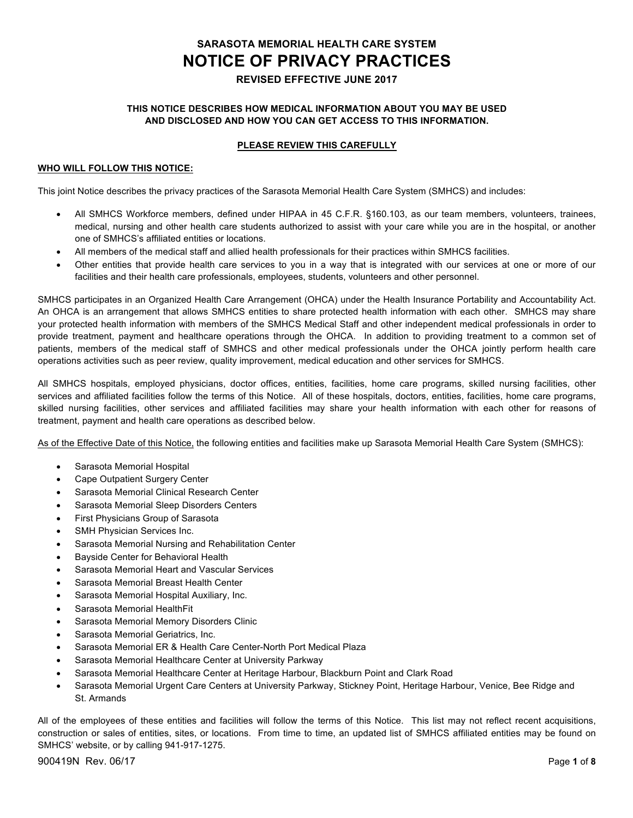# **SARASOTA MEMORIAL HEALTH CARE SYSTEM NOTICE OF PRIVACY PRACTICES REVISED EFFECTIVE JUNE 2017**

### **THIS NOTICE DESCRIBES HOW MEDICAL INFORMATION ABOUT YOU MAY BE USED AND DISCLOSED AND HOW YOU CAN GET ACCESS TO THIS INFORMATION.**

### **PLEASE REVIEW THIS CAREFULLY**

#### **WHO WILL FOLLOW THIS NOTICE:**

This joint Notice describes the privacy practices of the Sarasota Memorial Health Care System (SMHCS) and includes:

- All SMHCS Workforce members, defined under HIPAA in 45 C.F.R. §160.103, as our team members, volunteers, trainees, medical, nursing and other health care students authorized to assist with your care while you are in the hospital, or another one of SMHCS's affiliated entities or locations.
- All members of the medical staff and allied health professionals for their practices within SMHCS facilities.
- Other entities that provide health care services to you in a way that is integrated with our services at one or more of our facilities and their health care professionals, employees, students, volunteers and other personnel.

SMHCS participates in an Organized Health Care Arrangement (OHCA) under the Health Insurance Portability and Accountability Act. An OHCA is an arrangement that allows SMHCS entities to share protected health information with each other. SMHCS may share your protected health information with members of the SMHCS Medical Staff and other independent medical professionals in order to provide treatment, payment and healthcare operations through the OHCA. In addition to providing treatment to a common set of patients, members of the medical staff of SMHCS and other medical professionals under the OHCA jointly perform health care operations activities such as peer review, quality improvement, medical education and other services for SMHCS.

All SMHCS hospitals, employed physicians, doctor offices, entities, facilities, home care programs, skilled nursing facilities, other services and affiliated facilities follow the terms of this Notice. All of these hospitals, doctors, entities, facilities, home care programs, skilled nursing facilities, other services and affiliated facilities may share your health information with each other for reasons of treatment, payment and health care operations as described below.

As of the Effective Date of this Notice, the following entities and facilities make up Sarasota Memorial Health Care System (SMHCS):

- Sarasota Memorial Hospital
- Cape Outpatient Surgery Center
- Sarasota Memorial Clinical Research Center
- Sarasota Memorial Sleep Disorders Centers
- First Physicians Group of Sarasota
- SMH Physician Services Inc.
- Sarasota Memorial Nursing and Rehabilitation Center
- Bayside Center for Behavioral Health
- Sarasota Memorial Heart and Vascular Services
- Sarasota Memorial Breast Health Center
- Sarasota Memorial Hospital Auxiliary, Inc.
- Sarasota Memorial HealthFit
- Sarasota Memorial Memory Disorders Clinic
- Sarasota Memorial Geriatrics, Inc.
- Sarasota Memorial ER & Health Care Center-North Port Medical Plaza
- Sarasota Memorial Healthcare Center at University Parkway
- Sarasota Memorial Healthcare Center at Heritage Harbour, Blackburn Point and Clark Road
- Sarasota Memorial Urgent Care Centers at University Parkway, Stickney Point, Heritage Harbour, Venice, Bee Ridge and St. Armands

All of the employees of these entities and facilities will follow the terms of this Notice. This list may not reflect recent acquisitions, construction or sales of entities, sites, or locations. From time to time, an updated list of SMHCS affiliated entities may be found on SMHCS' website, or by calling 941-917-1275.

900419N Rev. 06/17 Page **1** of **8**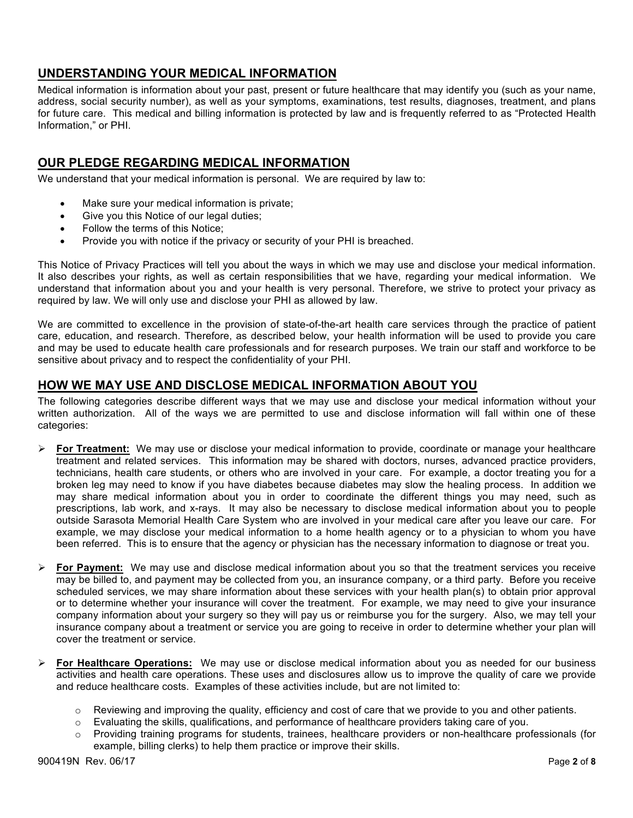## **UNDERSTANDING YOUR MEDICAL INFORMATION**

Medical information is information about your past, present or future healthcare that may identify you (such as your name, address, social security number), as well as your symptoms, examinations, test results, diagnoses, treatment, and plans for future care. This medical and billing information is protected by law and is frequently referred to as "Protected Health Information," or PHI.

## **OUR PLEDGE REGARDING MEDICAL INFORMATION**

We understand that your medical information is personal. We are required by law to:

- Make sure your medical information is private;
- Give you this Notice of our legal duties;
- Follow the terms of this Notice;
- Provide you with notice if the privacy or security of your PHI is breached.

This Notice of Privacy Practices will tell you about the ways in which we may use and disclose your medical information. It also describes your rights, as well as certain responsibilities that we have, regarding your medical information. We understand that information about you and your health is very personal. Therefore, we strive to protect your privacy as required by law. We will only use and disclose your PHI as allowed by law.

We are committed to excellence in the provision of state-of-the-art health care services through the practice of patient care, education, and research. Therefore, as described below, your health information will be used to provide you care and may be used to educate health care professionals and for research purposes. We train our staff and workforce to be sensitive about privacy and to respect the confidentiality of your PHI.

## **HOW WE MAY USE AND DISCLOSE MEDICAL INFORMATION ABOUT YOU**

The following categories describe different ways that we may use and disclose your medical information without your written authorization. All of the ways we are permitted to use and disclose information will fall within one of these categories:

- Ø **For Treatment:** We may use or disclose your medical information to provide, coordinate or manage your healthcare treatment and related services. This information may be shared with doctors, nurses, advanced practice providers, technicians, health care students, or others who are involved in your care. For example, a doctor treating you for a broken leg may need to know if you have diabetes because diabetes may slow the healing process. In addition we may share medical information about you in order to coordinate the different things you may need, such as prescriptions, lab work, and x-rays. It may also be necessary to disclose medical information about you to people outside Sarasota Memorial Health Care System who are involved in your medical care after you leave our care. For example, we may disclose your medical information to a home health agency or to a physician to whom you have been referred. This is to ensure that the agency or physician has the necessary information to diagnose or treat you.
- Ø **For Payment:** We may use and disclose medical information about you so that the treatment services you receive may be billed to, and payment may be collected from you, an insurance company, or a third party. Before you receive scheduled services, we may share information about these services with your health plan(s) to obtain prior approval or to determine whether your insurance will cover the treatment. For example, we may need to give your insurance company information about your surgery so they will pay us or reimburse you for the surgery. Also, we may tell your insurance company about a treatment or service you are going to receive in order to determine whether your plan will cover the treatment or service.
- Ø **For Healthcare Operations:** We may use or disclose medical information about you as needed for our business activities and health care operations. These uses and disclosures allow us to improve the quality of care we provide and reduce healthcare costs. Examples of these activities include, but are not limited to:
	- o Reviewing and improving the quality, efficiency and cost of care that we provide to you and other patients.
	- $\circ$  Evaluating the skills, qualifications, and performance of healthcare providers taking care of you.
	- o Providing training programs for students, trainees, healthcare providers or non-healthcare professionals (for example, billing clerks) to help them practice or improve their skills.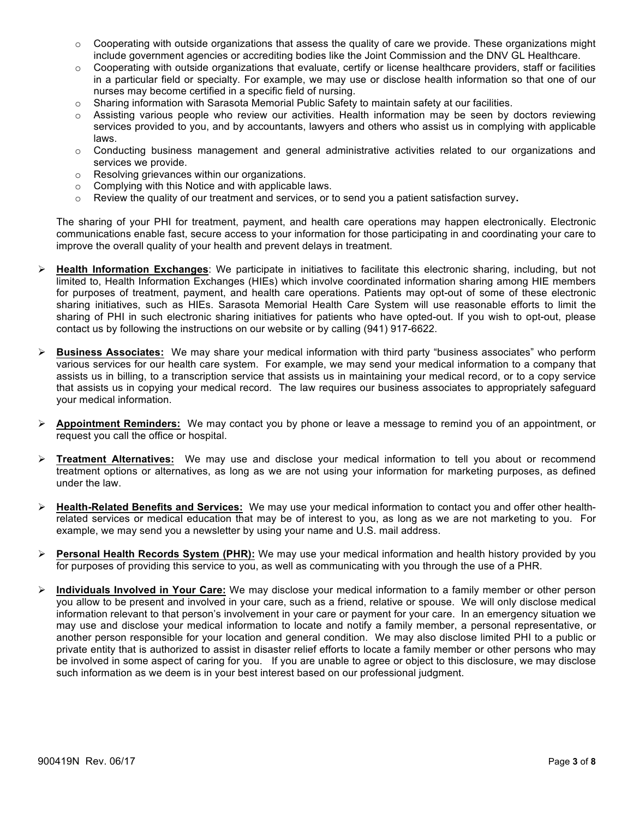- $\circ$  Cooperating with outside organizations that assess the quality of care we provide. These organizations might include government agencies or accrediting bodies like the Joint Commission and the DNV GL Healthcare.
- $\circ$  Cooperating with outside organizations that evaluate, certify or license healthcare providers, staff or facilities in a particular field or specialty. For example, we may use or disclose health information so that one of our nurses may become certified in a specific field of nursing.
- $\circ$  Sharing information with Sarasota Memorial Public Safety to maintain safety at our facilities.
- Assisting various people who review our activities. Health information may be seen by doctors reviewing services provided to you, and by accountants, lawyers and others who assist us in complying with applicable laws.
- $\circ$  Conducting business management and general administrative activities related to our organizations and services we provide.
- o Resolving grievances within our organizations.
- o Complying with this Notice and with applicable laws.
- o Review the quality of our treatment and services, or to send you a patient satisfaction survey**.**

The sharing of your PHI for treatment, payment, and health care operations may happen electronically. Electronic communications enable fast, secure access to your information for those participating in and coordinating your care to improve the overall quality of your health and prevent delays in treatment.

- Ø **Health Information Exchanges**: We participate in initiatives to facilitate this electronic sharing, including, but not limited to, Health Information Exchanges (HIEs) which involve coordinated information sharing among HIE members for purposes of treatment, payment, and health care operations. Patients may opt-out of some of these electronic sharing initiatives, such as HIEs. Sarasota Memorial Health Care System will use reasonable efforts to limit the sharing of PHI in such electronic sharing initiatives for patients who have opted-out. If you wish to opt-out, please contact us by following the instructions on our website or by calling (941) 917-6622.
- Ø **Business Associates:** We may share your medical information with third party "business associates" who perform various services for our health care system. For example, we may send your medical information to a company that assists us in billing, to a transcription service that assists us in maintaining your medical record, or to a copy service that assists us in copying your medical record. The law requires our business associates to appropriately safeguard your medical information.
- Ø **Appointment Reminders:** We may contact you by phone or leave a message to remind you of an appointment, or request you call the office or hospital.
- Ø **Treatment Alternatives:** We may use and disclose your medical information to tell you about or recommend treatment options or alternatives, as long as we are not using your information for marketing purposes, as defined under the law.
- Ø **Health-Related Benefits and Services:** We may use your medical information to contact you and offer other healthrelated services or medical education that may be of interest to you, as long as we are not marketing to you. For example, we may send you a newsletter by using your name and U.S. mail address.
- Ø **Personal Health Records System (PHR):** We may use your medical information and health history provided by you for purposes of providing this service to you, as well as communicating with you through the use of a PHR.
- Ø **Individuals Involved in Your Care:** We may disclose your medical information to a family member or other person you allow to be present and involved in your care, such as a friend, relative or spouse. We will only disclose medical information relevant to that person's involvement in your care or payment for your care. In an emergency situation we may use and disclose your medical information to locate and notify a family member, a personal representative, or another person responsible for your location and general condition. We may also disclose limited PHI to a public or private entity that is authorized to assist in disaster relief efforts to locate a family member or other persons who may be involved in some aspect of caring for you. If you are unable to agree or object to this disclosure, we may disclose such information as we deem is in your best interest based on our professional judgment.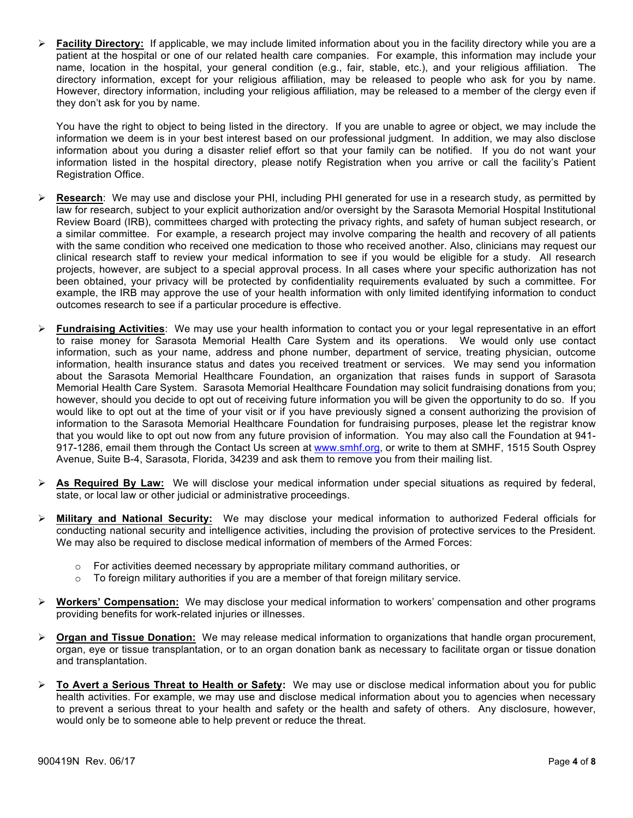Ø **Facility Directory:** If applicable, we may include limited information about you in the facility directory while you are a patient at the hospital or one of our related health care companies. For example, this information may include your name, location in the hospital, your general condition (e.g., fair, stable, etc.), and your religious affiliation. The directory information, except for your religious affiliation, may be released to people who ask for you by name. However, directory information, including your religious affiliation, may be released to a member of the clergy even if they don't ask for you by name.

You have the right to object to being listed in the directory. If you are unable to agree or object, we may include the information we deem is in your best interest based on our professional judgment. In addition, we may also disclose information about you during a disaster relief effort so that your family can be notified. If you do not want your information listed in the hospital directory, please notify Registration when you arrive or call the facility's Patient Registration Office.

- Ø **Research**: We may use and disclose your PHI, including PHI generated for use in a research study, as permitted by law for research, subject to your explicit authorization and/or oversight by the Sarasota Memorial Hospital Institutional Review Board (IRB), committees charged with protecting the privacy rights, and safety of human subject research, or a similar committee. For example, a research project may involve comparing the health and recovery of all patients with the same condition who received one medication to those who received another. Also, clinicians may request our clinical research staff to review your medical information to see if you would be eligible for a study. All research projects, however, are subject to a special approval process. In all cases where your specific authorization has not been obtained, your privacy will be protected by confidentiality requirements evaluated by such a committee. For example, the IRB may approve the use of your health information with only limited identifying information to conduct outcomes research to see if a particular procedure is effective.
- Ø **Fundraising Activities**: We may use your health information to contact you or your legal representative in an effort to raise money for Sarasota Memorial Health Care System and its operations. We would only use contact information, such as your name, address and phone number, department of service, treating physician, outcome information, health insurance status and dates you received treatment or services. We may send you information about the Sarasota Memorial Healthcare Foundation, an organization that raises funds in support of Sarasota Memorial Health Care System. Sarasota Memorial Healthcare Foundation may solicit fundraising donations from you; however, should you decide to opt out of receiving future information you will be given the opportunity to do so. If you would like to opt out at the time of your visit or if you have previously signed a consent authorizing the provision of information to the Sarasota Memorial Healthcare Foundation for fundraising purposes, please let the registrar know that you would like to opt out now from any future provision of information. You may also call the Foundation at 941- 917-1286, email them through the Contact Us screen at www.smhf.org, or write to them at SMHF, 1515 South Osprey Avenue, Suite B-4, Sarasota, Florida, 34239 and ask them to remove you from their mailing list.
- Ø **As Required By Law:** We will disclose your medical information under special situations as required by federal, state, or local law or other judicial or administrative proceedings.
- Ø **Military and National Security:** We may disclose your medical information to authorized Federal officials for conducting national security and intelligence activities, including the provision of protective services to the President. We may also be required to disclose medical information of members of the Armed Forces:
	- o For activities deemed necessary by appropriate military command authorities, or
	- $\circ$  To foreign military authorities if you are a member of that foreign military service.
- Ø **Workers' Compensation:** We may disclose your medical information to workers' compensation and other programs providing benefits for work-related injuries or illnesses.
- Ø **Organ and Tissue Donation:** We may release medical information to organizations that handle organ procurement, organ, eye or tissue transplantation, or to an organ donation bank as necessary to facilitate organ or tissue donation and transplantation.
- Ø **To Avert a Serious Threat to Health or Safety:** We may use or disclose medical information about you for public health activities. For example, we may use and disclose medical information about you to agencies when necessary to prevent a serious threat to your health and safety or the health and safety of others. Any disclosure, however, would only be to someone able to help prevent or reduce the threat.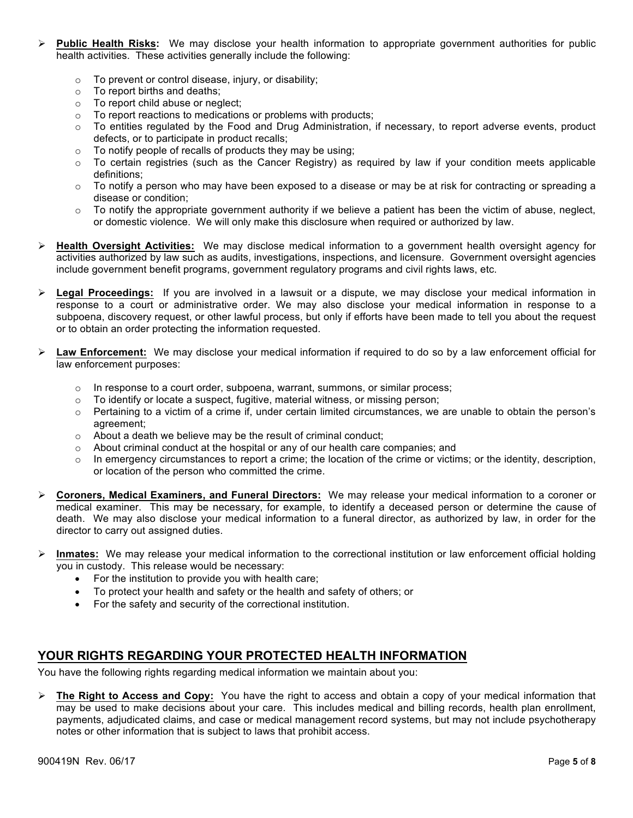- Ø **Public Health Risks:** We may disclose your health information to appropriate government authorities for public health activities. These activities generally include the following:
	- o To prevent or control disease, injury, or disability;
	- o To report births and deaths;
	- o To report child abuse or neglect;
	- o To report reactions to medications or problems with products;
	- o To entities regulated by the Food and Drug Administration, if necessary, to report adverse events, product defects, or to participate in product recalls;
	- o To notify people of recalls of products they may be using;
	- $\circ$  To certain registries (such as the Cancer Registry) as required by law if your condition meets applicable definitions;
	- $\circ$  To notify a person who may have been exposed to a disease or may be at risk for contracting or spreading a disease or condition;
	- $\circ$  To notify the appropriate government authority if we believe a patient has been the victim of abuse, neglect, or domestic violence. We will only make this disclosure when required or authorized by law.
- Ø **Health Oversight Activities:** We may disclose medical information to a government health oversight agency for activities authorized by law such as audits, investigations, inspections, and licensure. Government oversight agencies include government benefit programs, government regulatory programs and civil rights laws, etc.
- Ø **Legal Proceedings:** If you are involved in a lawsuit or a dispute, we may disclose your medical information in response to a court or administrative order. We may also disclose your medical information in response to a subpoena, discovery request, or other lawful process, but only if efforts have been made to tell you about the request or to obtain an order protecting the information requested.
- Ø **Law Enforcement:** We may disclose your medical information if required to do so by a law enforcement official for law enforcement purposes:
	- $\circ$  In response to a court order, subpoena, warrant, summons, or similar process;
	- o To identify or locate a suspect, fugitive, material witness, or missing person;
	- $\circ$  Pertaining to a victim of a crime if, under certain limited circumstances, we are unable to obtain the person's agreement;
	- o About a death we believe may be the result of criminal conduct;
	- $\circ$  About criminal conduct at the hospital or any of our health care companies; and
	- $\circ$  In emergency circumstances to report a crime; the location of the crime or victims; or the identity, description, or location of the person who committed the crime.
- Ø **Coroners, Medical Examiners, and Funeral Directors:** We may release your medical information to a coroner or medical examiner. This may be necessary, for example, to identify a deceased person or determine the cause of death. We may also disclose your medical information to a funeral director, as authorized by law, in order for the director to carry out assigned duties.
- Ø **Inmates:** We may release your medical information to the correctional institution or law enforcement official holding you in custody. This release would be necessary:
	- For the institution to provide you with health care;
	- To protect your health and safety or the health and safety of others; or
	- For the safety and security of the correctional institution.

### **YOUR RIGHTS REGARDING YOUR PROTECTED HEALTH INFORMATION**

You have the following rights regarding medical information we maintain about you:

Ø **The Right to Access and Copy:** You have the right to access and obtain a copy of your medical information that may be used to make decisions about your care. This includes medical and billing records, health plan enrollment, payments, adjudicated claims, and case or medical management record systems, but may not include psychotherapy notes or other information that is subject to laws that prohibit access.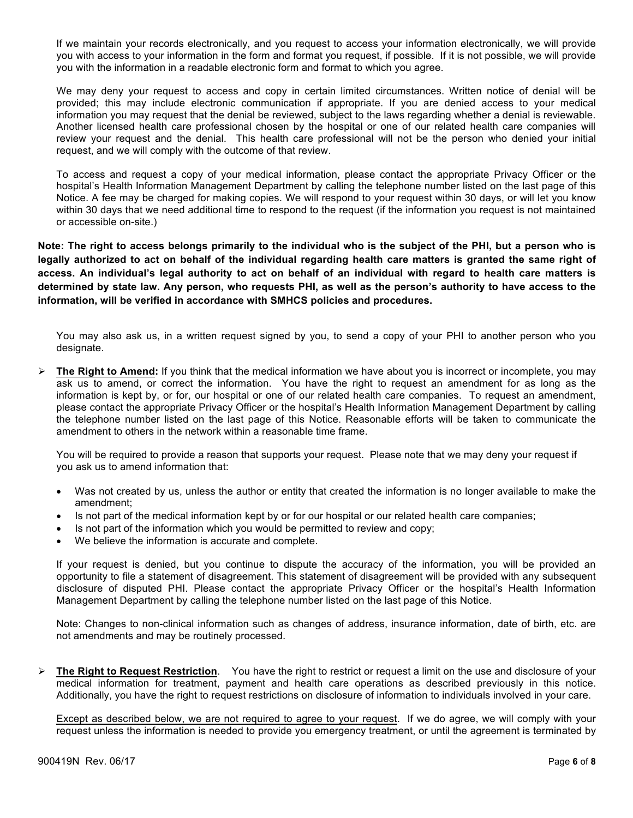If we maintain your records electronically, and you request to access your information electronically, we will provide you with access to your information in the form and format you request, if possible. If it is not possible, we will provide you with the information in a readable electronic form and format to which you agree.

We may deny your request to access and copy in certain limited circumstances. Written notice of denial will be provided; this may include electronic communication if appropriate. If you are denied access to your medical information you may request that the denial be reviewed, subject to the laws regarding whether a denial is reviewable. Another licensed health care professional chosen by the hospital or one of our related health care companies will review your request and the denial. This health care professional will not be the person who denied your initial request, and we will comply with the outcome of that review.

To access and request a copy of your medical information, please contact the appropriate Privacy Officer or the hospital's Health Information Management Department by calling the telephone number listed on the last page of this Notice. A fee may be charged for making copies. We will respond to your request within 30 days, or will let you know within 30 days that we need additional time to respond to the request (if the information you request is not maintained or accessible on-site.)

**Note: The right to access belongs primarily to the individual who is the subject of the PHI, but a person who is**  legally authorized to act on behalf of the individual regarding health care matters is granted the same right of **access. An individual's legal authority to act on behalf of an individual with regard to health care matters is determined by state law. Any person, who requests PHI, as well as the person's authority to have access to the information, will be verified in accordance with SMHCS policies and procedures.** 

You may also ask us, in a written request signed by you, to send a copy of your PHI to another person who you designate.

Ø **The Right to Amend:** If you think that the medical information we have about you is incorrect or incomplete, you may ask us to amend, or correct the information. You have the right to request an amendment for as long as the information is kept by, or for, our hospital or one of our related health care companies. To request an amendment, please contact the appropriate Privacy Officer or the hospital's Health Information Management Department by calling the telephone number listed on the last page of this Notice. Reasonable efforts will be taken to communicate the amendment to others in the network within a reasonable time frame.

You will be required to provide a reason that supports your request. Please note that we may deny your request if you ask us to amend information that:

- Was not created by us, unless the author or entity that created the information is no longer available to make the amendment;
- Is not part of the medical information kept by or for our hospital or our related health care companies;
- Is not part of the information which you would be permitted to review and copy;
- We believe the information is accurate and complete.

If your request is denied, but you continue to dispute the accuracy of the information, you will be provided an opportunity to file a statement of disagreement. This statement of disagreement will be provided with any subsequent disclosure of disputed PHI. Please contact the appropriate Privacy Officer or the hospital's Health Information Management Department by calling the telephone number listed on the last page of this Notice.

Note: Changes to non-clinical information such as changes of address, insurance information, date of birth, etc. are not amendments and may be routinely processed.

Ø **The Right to Request Restriction**. You have the right to restrict or request a limit on the use and disclosure of your medical information for treatment, payment and health care operations as described previously in this notice. Additionally, you have the right to request restrictions on disclosure of information to individuals involved in your care.

Except as described below, we are not required to agree to your request. If we do agree, we will comply with your request unless the information is needed to provide you emergency treatment, or until the agreement is terminated by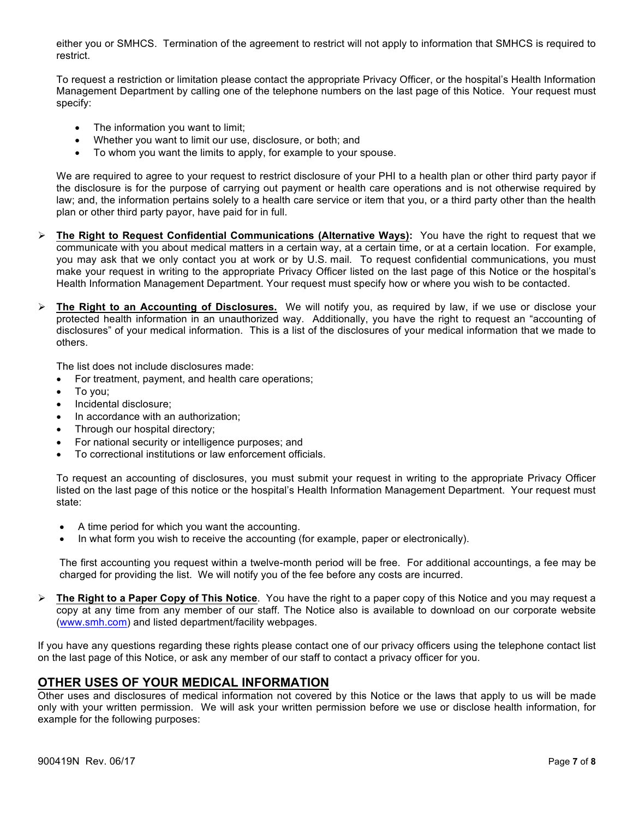either you or SMHCS. Termination of the agreement to restrict will not apply to information that SMHCS is required to restrict.

To request a restriction or limitation please contact the appropriate Privacy Officer, or the hospital's Health Information Management Department by calling one of the telephone numbers on the last page of this Notice. Your request must specify:

- The information you want to limit;
- Whether you want to limit our use, disclosure, or both; and
- To whom you want the limits to apply, for example to your spouse.

We are required to agree to your request to restrict disclosure of your PHI to a health plan or other third party payor if the disclosure is for the purpose of carrying out payment or health care operations and is not otherwise required by law; and, the information pertains solely to a health care service or item that you, or a third party other than the health plan or other third party payor, have paid for in full.

- Ø **The Right to Request Confidential Communications (Alternative Ways):** You have the right to request that we communicate with you about medical matters in a certain way, at a certain time, or at a certain location. For example, you may ask that we only contact you at work or by U.S. mail. To request confidential communications, you must make your request in writing to the appropriate Privacy Officer listed on the last page of this Notice or the hospital's Health Information Management Department. Your request must specify how or where you wish to be contacted.
- Ø **The Right to an Accounting of Disclosures.** We will notify you, as required by law, if we use or disclose your protected health information in an unauthorized way. Additionally, you have the right to request an "accounting of disclosures" of your medical information. This is a list of the disclosures of your medical information that we made to others.

The list does not include disclosures made:

- For treatment, payment, and health care operations;
- To you;
- Incidental disclosure;
- In accordance with an authorization;
- Through our hospital directory;
- For national security or intelligence purposes; and
- To correctional institutions or law enforcement officials.

To request an accounting of disclosures, you must submit your request in writing to the appropriate Privacy Officer listed on the last page of this notice or the hospital's Health Information Management Department. Your request must state:

- A time period for which you want the accounting.
- In what form you wish to receive the accounting (for example, paper or electronically).

The first accounting you request within a twelve-month period will be free. For additional accountings, a fee may be charged for providing the list. We will notify you of the fee before any costs are incurred.

Ø **The Right to a Paper Copy of This Notice**. You have the right to a paper copy of this Notice and you may request a copy at any time from any member of our staff. The Notice also is available to download on our corporate website (www.smh.com) and listed department/facility webpages.

If you have any questions regarding these rights please contact one of our privacy officers using the telephone contact list on the last page of this Notice, or ask any member of our staff to contact a privacy officer for you.

### **OTHER USES OF YOUR MEDICAL INFORMATION**

Other uses and disclosures of medical information not covered by this Notice or the laws that apply to us will be made only with your written permission. We will ask your written permission before we use or disclose health information, for example for the following purposes: